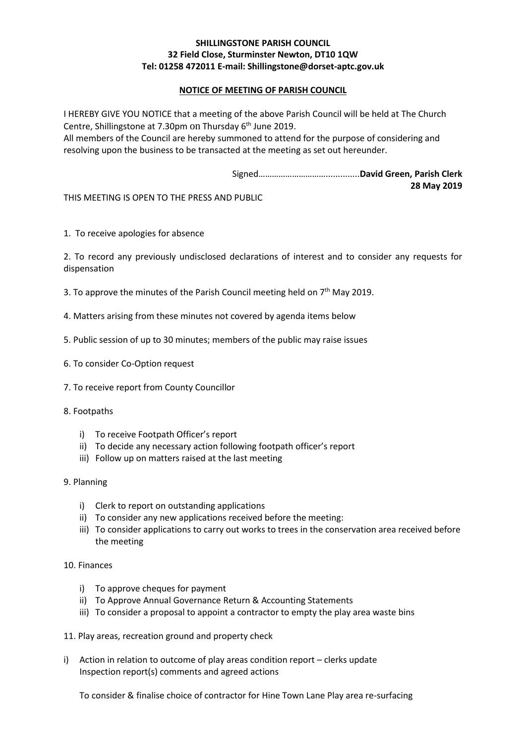## **SHILLINGSTONE PARISH COUNCIL 32 Field Close, Sturminster Newton, DT10 1QW Tel: 01258 472011 E-mail: Shillingstone@dorset-aptc.gov.uk**

## **NOTICE OF MEETING OF PARISH COUNCIL**

I HEREBY GIVE YOU NOTICE that a meeting of the above Parish Council will be held at The Church Centre, Shillingstone at 7.30pm on Thursday 6<sup>th</sup> June 2019.

All members of the Council are hereby summoned to attend for the purpose of considering and resolving upon the business to be transacted at the meeting as set out hereunder.

> Signed…………………………..............**David Green, Parish Clerk 28 May 2019**

THIS MEETING IS OPEN TO THE PRESS AND PUBLIC

1. To receive apologies for absence

2. To record any previously undisclosed declarations of interest and to consider any requests for dispensation

- 3. To approve the minutes of the Parish Council meeting held on  $7<sup>th</sup>$  May 2019.
- 4. Matters arising from these minutes not covered by agenda items below
- 5. Public session of up to 30 minutes; members of the public may raise issues
- 6. To consider Co-Option request
- 7. To receive report from County Councillor
- 8. Footpaths
	- i) To receive Footpath Officer's report
	- ii) To decide any necessary action following footpath officer's report
	- iii) Follow up on matters raised at the last meeting
- 9. Planning
	- i) Clerk to report on outstanding applications
	- ii) To consider any new applications received before the meeting:
	- iii) To consider applications to carry out works to trees in the conservation area received before the meeting

## 10. Finances

- i) To approve cheques for payment
- ii) To Approve Annual Governance Return & Accounting Statements
- iii) To consider a proposal to appoint a contractor to empty the play area waste bins
- 11. Play areas, recreation ground and property check
- i) Action in relation to outcome of play areas condition report clerks update Inspection report(s) comments and agreed actions

To consider & finalise choice of contractor for Hine Town Lane Play area re-surfacing